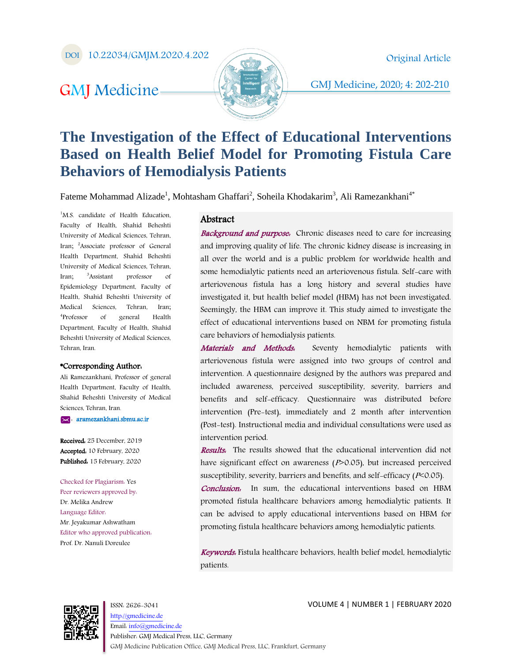DOI 10.22034/GMJM.2020.4.202

# GMJ Medicine-



GMJ Medicine, 2020; 4: 202-210

# **The Investigation of the Effect of Educational Interventions Based on Health Belief Model for Promoting Fistula Care Behaviors of Hemodialysis Patients**

Fateme Mohammad Alizade<sup>1</sup>, Mohtasham Ghaffari<sup>2</sup>, Soheila Khodakarim<sup>3</sup>, Ali Ramezankhani<sup>4\*</sup>

<sup>1</sup>M.S. candidate of Health Education, Faculty of Health, Shahid Beheshti University of Medical Sciences, Tehran, Iran; <sup>2</sup>Associate professor of General Health Department, Shahid Beheshti University of Medical Sciences, Tehran, Iran; <sup>3</sup>Assistant professor of Epidemiology Department, Faculty of Health, Shahid Beheshti University of Medical Sciences, Tehran, Iran; 4 Professor of general Health Department, Faculty of Health, Shahid Beheshti University of Medical Sciences, Tehran, Iran.

#### \*Corresponding Author:

Ali Ramezankhani, Professor of general Health Department, Faculty of Health, Shahid Beheshti University of Medical Sciences, Tehran, Iran.

: [aramezankhani.sbmu.ac.ir](mailto:maryammshiravand@gmail.com) 

Received: 25 December, 2019 Accepted: 10 February, 2020 Published. 15 February, 2020

Checked for Plagiarism: Yes Peer reviewers approved by: Dr. Melika Andrew Language Editor: Mr. Jeyakumar Ashwatham Editor who approved publication: Prof. Dr. Nanuli Doreulee

#### Abstract

**Background and purpose.** Chronic diseases need to care for increasing and improving quality of life. The chronic kidney disease is increasing in all over the world and is a public problem for worldwide health and some hemodialytic patients need an arteriovenous fistula. Self-care with arteriovenous fistula has a long history and several studies have investigated it, but health belief model (HBM) has not been investigated. Seemingly, the HBM can improve it. This study aimed to investigate the effect of educational interventions based on NBM for promoting fistula care behaviors of hemodialysis patients.

Materials and Methods. Seventy hemodialytic patients with arteriovenous fistula were assigned into two groups of control and intervention. A questionnaire designed by the authors was prepared and included awareness, perceived susceptibility, severity, barriers and benefits and self-efficacy. Questionnaire was distributed before intervention (Pre-test), immediately and 2 month after intervention (Post-test). Instructional media and individual consultations were used as intervention period.

Results. The results showed that the educational intervention did not have significant effect on awareness  $(P>0.05)$ , but increased perceived susceptibility, severity, barriers and benefits, and self-efficacy ( $P<0.05$ ).

Conclusion: In sum, the educational interventions based on HBM promoted fistula healthcare behaviors among hemodialytic patients. It can be advised to apply educational interventions based on HBM for promoting fistula healthcare behaviors among hemodialytic patients.

Keywords: Fistula healthcare behaviors, health belief model, hemodialytic patients.



ISSN: 2626-3041 [http://gmedicine.de](http://gmedicine.de/) Email[: info@gmedicine.de](mailto:info@gmedicine.de) Publisher: GMJ Medical Press, LLC, Germany GMJ Medicine Publication Office, GMJ Medical Press, LLC, Frankfurt, Germany

VOLUME 4 | NUMBER 1 | FEBRUARY 2020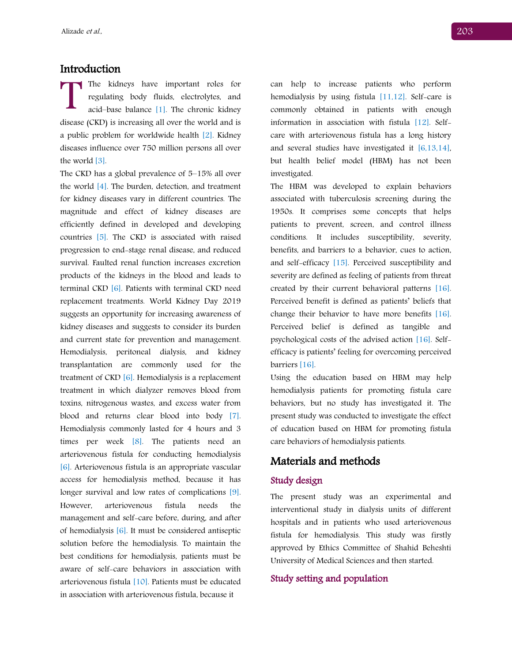## Introduction

The kidneys have important roles for regulating body fluids, electrolytes, and acid–base balance [1]. The chronic kidney The kidneys have important roles for<br>regulating body fluids, electrolytes, and<br>acid-base balance [1]. The chronic kidney<br>disease (CKD) is increasing all over the world and is a public problem for worldwide health [2]. Kidney diseases influence over 750 million persons all over the world [3].

The CKD has a global prevalence of 5–15% all over the world [4]. The burden, detection, and treatment for kidney diseases vary in different countries. The magnitude and effect of kidney diseases are efficiently defined in developed and developing countries [5]. The CKD is associated with raised progression to end-stage renal disease, and reduced survival. Faulted renal function increases excretion products of the kidneys in the blood and leads to terminal CKD [6]. Patients with terminal CKD need replacement treatments. World Kidney Day 2019 suggests an opportunity for increasing awareness of kidney diseases and suggests to consider its burden and current state for prevention and management. Hemodialysis, peritoneal dialysis, and kidney transplantation are commonly used for the treatment of  $CKD$  [6]. Hemodialysis is a replacement treatment in which dialyzer removes blood from toxins, nitrogenous wastes, and excess water from blood and returns clear blood into body [7]. Hemodialysis commonly lasted for 4 hours and 3 times per week [8]. The patients need an arteriovenous fistula for conducting hemodialysis [6]. Arteriovenous fistula is an appropriate vascular access for hemodialysis method, because it has longer survival and low rates of complications [9]. However, arteriovenous fistula needs the management and self-care before, during, and after of hemodialysis [6]. It must be considered antiseptic solution before the hemodialysis. To maintain the best conditions for hemodialysis, patients must be aware of self-care behaviors in association with arteriovenous fistula [10]. Patients must be educated in association with arteriovenous fistula, because it

can help to increase patients who perform hemodialysis by using fistula [11,12]. Self-care is commonly obtained in patients with enough information in association with fistula [12]. Selfcare with arteriovenous fistula has a long history and several studies have investigated it [6,13,14], but health belief model (HBM) has not been investigated.

The HBM was developed to explain behaviors associated with tuberculosis screening during the 1950s. It comprises some concepts that helps patients to prevent, screen, and control illness conditions. It includes susceptibility, severity, benefits, and barriers to a behavior, cues to action, and self-efficacy [15]. Perceived susceptibility and severity are defined as feeling of patients from threat created by their current behavioral patterns [16]. Perceived benefit is defined as patients' beliefs that change their behavior to have more benefits [16]. Perceived belief is defined as tangible and psychological costs of the advised action [16]. Selfefficacy is patients' feeling for overcoming perceived barriers [16].

Using the education based on HBM may help hemodialysis patients for promoting fistula care behaviors, but no study has investigated it. The present study was conducted to investigate the effect of education based on HBM for promoting fistula care behaviors of hemodialysis patients.

## Materials and methods

#### Study design

The present study was an experimental and interventional study in dialysis units of different hospitals and in patients who used arteriovenous fistula for hemodialysis. This study was firstly approved by Ethics Committee of Shahid Beheshti University of Medical Sciences and then started.

#### Study setting and population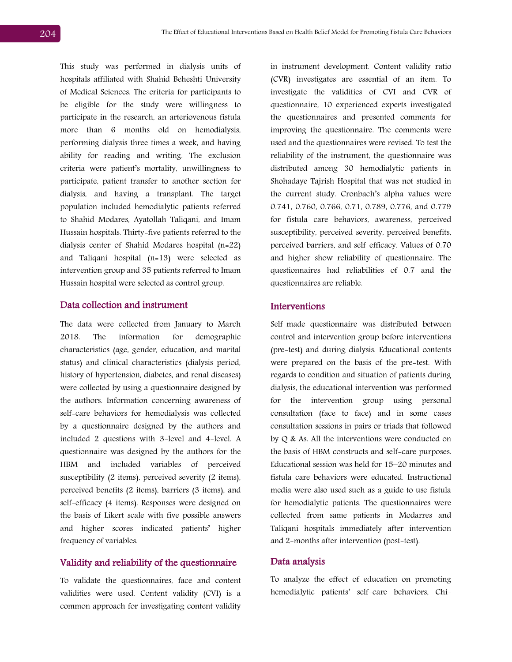This study was performed in dialysis units of hospitals affiliated with Shahid Beheshti University of Medical Sciences. The criteria for participants to be eligible for the study were willingness to participate in the research, an arteriovenous fistula more than 6 months old on hemodialysis, performing dialysis three times a week, and having ability for reading and writing. The exclusion criteria were patient's mortality, unwillingness to participate, patient transfer to another section for dialysis, and having a transplant. The target population included hemodialytic patients referred to Shahid Modares, Ayatollah Taliqani, and Imam Hussain hospitals. Thirty-five patients referred to the dialysis center of Shahid Modares hospital (n=22) and Taliqani hospital (n=13) were selected as intervention group and 35 patients referred to Imam Hussain hospital were selected as control group.

#### Data collection and instrument

The data were collected from January to March 2018. The information for demographic characteristics (age, gender, education, and marital status) and clinical characteristics (dialysis period, history of hypertension, diabetes, and renal diseases) were collected by using a questionnaire designed by the authors. Information concerning awareness of self-care behaviors for hemodialysis was collected by a questionnaire designed by the authors and included 2 questions with 3-level and 4-level. A questionnaire was designed by the authors for the HBM and included variables of perceived susceptibility (2 items), perceived severity (2 items), perceived benefits (2 items), barriers (3 items), and self-efficacy (4 items). Responses were designed on the basis of Likert scale with five possible answers and higher scores indicated patients' higher frequency of variables.

#### Validity and reliability of the questionnaire

To validate the questionnaires, face and content validities were used. Content validity (CVI) is a common approach for investigating content validity

in instrument development. Content validity ratio (CVR) investigates are essential of an item. To investigate the validities of CVI and CVR of questionnaire, 10 experienced experts investigated the questionnaires and presented comments for improving the questionnaire. The comments were used and the questionnaires were revised. To test the reliability of the instrument, the questionnaire was distributed among 30 hemodialytic patients in Shohadaye Tajrish Hospital that was not studied in the current study. Cronbach's alpha values were 0.741, 0.760, 0.766, 0.71, 0.789, 0.776, and 0.779 for fistula care behaviors, awareness, perceived susceptibility, perceived severity, perceived benefits, perceived barriers, and self-efficacy. Values of 0.70 and higher show reliability of questionnaire. The questionnaires had reliabilities of 0.7 and the questionnaires are reliable.

#### Interventions

Self-made questionnaire was distributed between control and intervention group before interventions (pre-test) and during dialysis. Educational contents were prepared on the basis of the pre-test. With regards to condition and situation of patients during dialysis, the educational intervention was performed for the intervention group using personal consultation (face to face) and in some cases consultation sessions in pairs or triads that followed by Q & As. All the interventions were conducted on the basis of HBM constructs and self-care purposes. Educational session was held for 15–20 minutes and fistula care behaviors were educated. Instructional media were also used such as a guide to use fistula for hemodialytic patients. The questionnaires were collected from same patients in Modarres and Taliqani hospitals immediately after intervention and 2-months after intervention (post-test).

#### Data analysis

To analyze the effect of education on promoting hemodialytic patients' self-care behaviors, Chi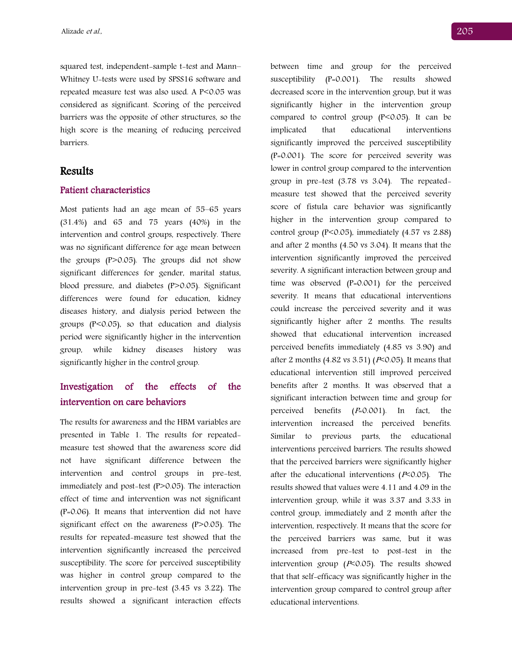squared test, independent-sample t-test and Mann– Whitney U-tests were used by SPSS16 software and repeated measure test was also used. A P<0.05 was considered as significant. Scoring of the perceived barriers was the opposite of other structures, so the high score is the meaning of reducing perceived barriers.

## Results

#### Patient characteristics

Most patients had an age mean of 55–65 years (31.4%) and 65 and 75 years (40%) in the intervention and control groups, respectively. There was no significant difference for age mean between the groups (P>0.05). The groups did not show significant differences for gender, marital status, blood pressure, and diabetes (P>0.05). Significant differences were found for education, kidney diseases history, and dialysis period between the groups (P<0.05), so that education and dialysis period were significantly higher in the intervention group, while kidney diseases history was significantly higher in the control group.

## Investigation of the effects of the intervention on care behaviors

The results for awareness and the HBM variables are presented in Table 1. The results for repeatedmeasure test showed that the awareness score did not have significant difference between the intervention and control groups in pre-test, immediately and post-test (P>0.05). The interaction effect of time and intervention was not significant (P=0.06). It means that intervention did not have significant effect on the awareness (P>0.05). The results for repeated-measure test showed that the intervention significantly increased the perceived susceptibility. The score for perceived susceptibility was higher in control group compared to the intervention group in pre-test (3.45 vs 3.22). The results showed a significant interaction effects

between time and group for the perceived susceptibility (P=0.001). The results showed decreased score in the intervention group, but it was significantly higher in the intervention group compared to control group (P<0.05). It can be implicated that educational interventions significantly improved the perceived susceptibility (P=0.001). The score for perceived severity was lower in control group compared to the intervention group in pre-test (3.78 vs 3.04). The repeatedmeasure test showed that the perceived severity score of fistula care behavior was significantly higher in the intervention group compared to control group ( $P < 0.05$ ), immediately (4.57 vs 2.88) and after 2 months (4.50 vs 3.04). It means that the intervention significantly improved the perceived severity. A significant interaction between group and time was observed (P=0.001) for the perceived severity. It means that educational interventions could increase the perceived severity and it was significantly higher after 2 months. The results showed that educational intervention increased perceived benefits immediately (4.85 vs 3.90) and after 2 months (4.82 vs 3.51) ( $P<0.05$ ). It means that educational intervention still improved perceived benefits after 2 months. It was observed that a significant interaction between time and group for perceived benefits  $(P=0.001)$ . In fact, the intervention increased the perceived benefits. Similar to previous parts, the educational interventions perceived barriers. The results showed that the perceived barriers were significantly higher after the educational interventions  $(1.006)$ . The results showed that values were 4.11 and 4.09 in the intervention group, while it was 3.37 and 3.33 in control group, immediately and 2 month after the intervention, respectively. It means that the score for the perceived barriers was same, but it was increased from pre-test to post-test in the intervention group ( $P< 0.05$ ). The results showed that that self-efficacy was significantly higher in the intervention group compared to control group after educational interventions.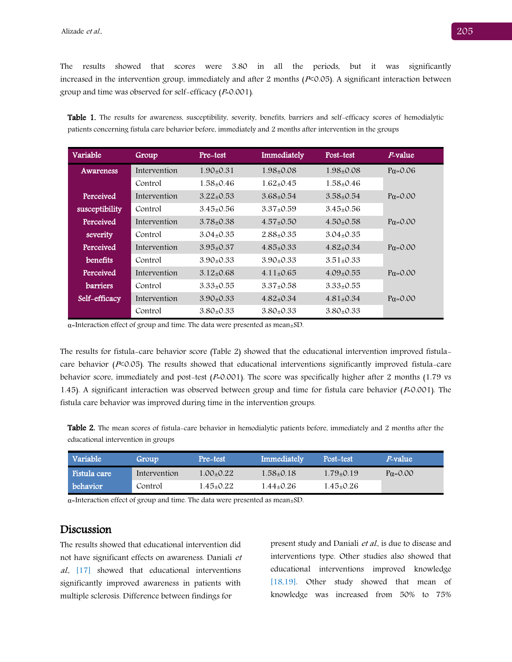The results showed that scores were 3.80 in all the periods, but it was significantly increased in the intervention group, immediately and after 2 months  $(P< 0.05)$ . A significant interaction between group and time was observed for self-efficacy  $(P=0.001)$ .

Table 1. The results for awareness, susceptibility, severity, benefits, barriers and self-efficacy scores of hemodialytic patients concerning fistula care behavior before, immediately and 2 months after intervention in the groups

| Variable        | Group        | Pre-test        | Immediately                  | Post-test       | <i>P</i> -value  |
|-----------------|--------------|-----------------|------------------------------|-----------------|------------------|
| Awareness       | Intervention | $1.90 \pm 0.31$ | 1.98+0.08                    | 1.98+0.08       | $Pa = 0.06$      |
|                 | Control      | $1.58 + 0.46$   | $1.62 + 0.45$                | $1.58 + 0.46$   |                  |
| Perceived       | Intervention | $3.22+0.53$     | $3.68 + 0.54$                | $3.58 \pm 0.54$ | $Pa = 0.00$      |
| susceptibility  | Control      | $3.45 \pm 0.56$ | $3.37+0.59$                  | $3.45 \pm 0.56$ |                  |
| Perceived       | Intervention | $3.78 \pm 0.38$ | $4.57 \pm 0.50$              | $4.50 + 0.58$   | $P\alpha = 0.00$ |
| severity        | Control      | $3.04 \pm 0.35$ | $2.88 + 0.35$                | $3.04 + 0.35$   |                  |
| Perceived       | Intervention | $3.95 \pm 0.37$ | $4.85 \pm 0.33$              | $4.82 + 0.34$   | $P\alpha = 0.00$ |
| benefits        | Control      | $3.90+0.33$     | $3.90 + 0.33$                | $3.51 + 0.33$   |                  |
| Perceived       | Intervention | $3.12 \pm 0.68$ | $4.11 \pm 0.65$              | $4.09 \pm 0.55$ | $P\alpha = 0.00$ |
| <b>barriers</b> | Control      | $3.33+0.55$     | $3.37+0.58$                  | $3.33 \pm 0.55$ |                  |
| Self-efficacy   | Intervention | $3.90 \pm 0.33$ | $4.82{\scriptstyle \pm}0.34$ | $4.81 \pm 0.34$ | $Pa = 0.00$      |
|                 | Control      | $3.80+0.33$     | $3.80+0.33$                  | $3.80+0.33$     |                  |

 $\alpha$ =Interaction effect of group and time. The data were presented as mean $\pm$ SD.

The results for fistula-care behavior score (Table 2) showed that the educational intervention improved fistulacare behavior ( $P<sub>0.05</sub>$ ). The results showed that educational interventions significantly improved fistula-care behavior score, immediately and post-test  $(P=0.001)$ . The score was specifically higher after 2 months (1.79 vs 1.45). A significant interaction was observed between group and time for fistula care behavior ( $P=0.001$ ). The fistula care behavior was improved during time in the intervention groups.

Table 2. The mean scores of fistula-care behavior in hemodialytic patients before, immediately and 2 months after the educational intervention in groups

| Variable <b> </b> | Group        | Pre-test      | Immediately | Post-test     | <i>P</i> -value  |
|-------------------|--------------|---------------|-------------|---------------|------------------|
| Fistula care      | Intervention | $1.00 + 0.22$ | 1.58+0.18   | $1.79+0.19$   | $P\alpha = 0.00$ |
| behavior          | Control      | 1.45+0.22     | 1.44+0.26   | $1.45 + 0.26$ |                  |

α=Interaction effect of group and time. The data were presented as mean±SD.

## Discussion

The results showed that educational intervention did not have significant effects on awareness. Daniali et al., [17] showed that educational interventions significantly improved awareness in patients with multiple sclerosis. Difference between findings for

present study and Daniali et al., is due to disease and interventions type. Other studies also showed that educational interventions improved knowledge [18,19]. Other study showed that mean of knowledge was increased from 50% to 75%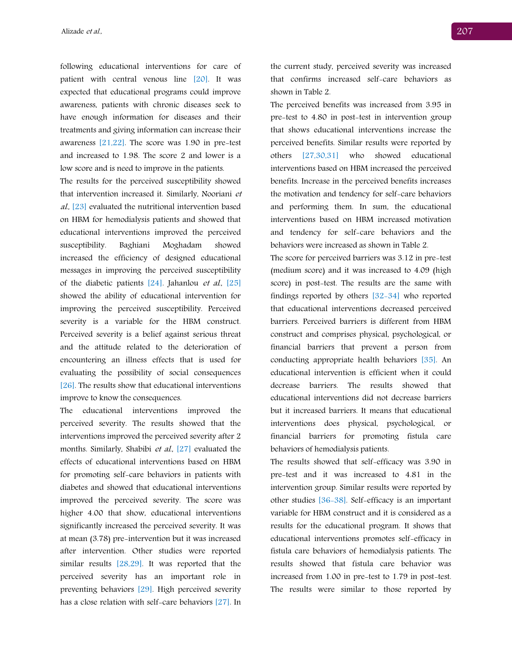following educational interventions for care of patient with central venous line [20]. It was expected that educational programs could improve awareness, patients with chronic diseases seek to have enough information for diseases and their treatments and giving information can increase their awareness [21,22]. The score was 1.90 in pre-test and increased to 1.98. The score 2 and lower is a low score and is need to improve in the patients.

The results for the perceived susceptibility showed that intervention increased it. Similarly, Nooriani et al., [23] evaluated the nutritional intervention based on HBM for hemodialysis patients and showed that educational interventions improved the perceived susceptibility. Baghiani Moghadam showed increased the efficiency of designed educational messages in improving the perceived susceptibility of the diabetic patients [24]. Jahanlou et al., [25] showed the ability of educational intervention for improving the perceived susceptibility. Perceived severity is a variable for the HBM construct. Perceived severity is a belief against serious threat and the attitude related to the deterioration of encountering an illness effects that is used for evaluating the possibility of social consequences [26]. The results show that educational interventions improve to know the consequences.

The educational interventions improved the perceived severity. The results showed that the interventions improved the perceived severity after 2 months. Similarly, Shabibi et al. [27] evaluated the effects of educational interventions based on HBM for promoting self-care behaviors in patients with diabetes and showed that educational interventions improved the perceived severity. The score was higher 4.00 that show, educational interventions significantly increased the perceived severity. It was at mean (3.78) pre-intervention but it was increased after intervention. Other studies were reported similar results [28,29]. It was reported that the perceived severity has an important role in preventing behaviors [29]. High perceived severity has a close relation with self-care behaviors [27]. In

the current study, perceived severity was increased that confirms increased self-care behaviors as shown in Table 2.

The perceived benefits was increased from 3.95 in pre-test to 4.80 in post-test in intervention group that shows educational interventions increase the perceived benefits. Similar results were reported by others [27,30,31] who showed educational interventions based on HBM increased the perceived benefits. Increase in the perceived benefits increases the motivation and tendency for self-care behaviors and performing them. In sum, the educational interventions based on HBM increased motivation and tendency for self-care behaviors and the behaviors were increased as shown in Table 2.

The score for perceived barriers was 3.12 in pre-test (medium score) and it was increased to 4.09 (high score) in post-test. The results are the same with findings reported by others [32-34] who reported that educational interventions decreased perceived barriers. Perceived barriers is different from HBM construct and comprises physical, psychological, or financial barriers that prevent a person from conducting appropriate health behaviors [35]. An educational intervention is efficient when it could decrease barriers. The results showed that educational interventions did not decrease barriers but it increased barriers. It means that educational interventions does physical, psychological, or financial barriers for promoting fistula care behaviors of hemodialysis patients.

The results showed that self-efficacy was 3.90 in pre-test and it was increased to 4.81 in the intervention group. Similar results were reported by other studies [36-38]. Self-efficacy is an important variable for HBM construct and it is considered as a results for the educational program. It shows that educational interventions promotes self-efficacy in fistula care behaviors of hemodialysis patients. The results showed that fistula care behavior was increased from 1.00 in pre-test to 1.79 in post-test. The results were similar to those reported by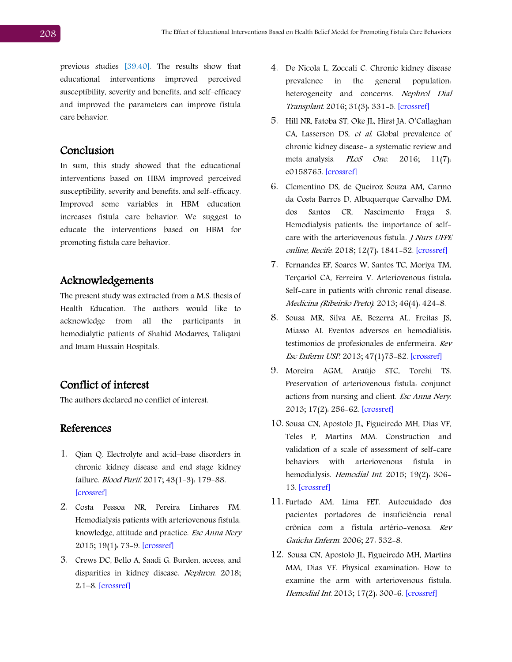previous studies [39,40]. The results show that educational interventions improved perceived susceptibility, severity and benefits, and self-efficacy and improved the parameters can improve fistula care behavior.

## Conclusion

In sum, this study showed that the educational interventions based on HBM improved perceived susceptibility, severity and benefits, and self-efficacy. Improved some variables in HBM education increases fistula care behavior. We suggest to educate the interventions based on HBM for promoting fistula care behavior.

# Acknowledgements

The present study was extracted from a M.S. thesis of Health Education. The authors would like to acknowledge from all the participants in hemodialytic patients of Shahid Modarres, Taliqani and Imam Hussain Hospitals.

## Conflict of interest

The authors declared no conflict of interest.

## References

- 1. Qian Q. Electrolyte and acid–base disorders in chronic kidney disease and end-stage kidney failure. Blood Purif. 2017; 43(1-3): 179-88. [\[crossref\]](https://doi.org/10.1159/000452725)
- 2. Costa Pessoa NR, Pereira Linhares FM. Hemodialysis patients with arteriovenous fistula: knowledge, attitude and practice. Esc Anna Nery 2015; 19(1): 73-9. [\[crossref\]](https://doi.org/10.5935/1414-8145.20150010)
- 3. Crews DC, Bello A, Saadi G. Burden, access, and disparities in kidney disease. Nephron. 2018; 2:1–8. [\[crossref\]](https://doi.org/10.1159/000495557)
- 4. De Nicola L, Zoccali C. Chronic kidney disease prevalence in the general population: heterogeneity and concerns. Nephrol Dial Transplant. 2016; 31(3): 331-5. [\[crossref\]](https://doi.org/10.1093/ndt/gfv427)
- 5. Hill NR, Fatoba ST, Oke JL, Hirst JA, O'Callaghan CA, Lasserson DS, et al. Global prevalence of chronic kidney disease- a systematic review and meta-analysis. PLoS One. 2016; 11(7): e0158765. [\[crossref\]](https://doi.org/10.1371/journal.pone.0158765)
- 6. Clementino DS, de Queiroz Souza AM, Carmo da Costa Barros D, Albuquerque Carvalho DM, dos Santos CR, Nascimento Fraga S. Hemodialysis patients: the importance of selfcare with the arteriovenous fistula. *J Nurs UFPE* online, Recife. 2018; 12(7): 1841-52. [\[crossref\]](https://doi.org/10.5205/1981-8963-v12i7a234970p1841-1852-2018)
- 7. Fernandes EF, Soares W, Santos TC, Moriya TM, Terçariol CA, Ferreira V. Arteriovenous fistula: Self-care in patients with chronic renal disease. Medicina (Ribeirão Preto). 2013; 46(4): 424-8.
- 8. Sousa MR, Silva AE, Bezerra AL, Freitas JS, Miasso AI. Eventos adversos en hemodiálisis: testimonios de profesionales de enfermeira. Rev Esc Enferm USP. 2013; 47(1)75-82. [\[crossref\]](https://doi.org/10.1590/S0080-62342013000100010)
- 9. Moreira AGM, Araújo STC, Torchi TS. Preservation of arteriovenous fistula: conjunct actions from nursing and client. Esc Anna Nery. 2013; 17(2): 256-62. [\[crossref\]](https://doi.org10.1590/S1414-81452013000200008)
- 10. Sousa CN, Apostolo JL, Figueiredo MH, Dias VF, Teles P, Martins MM. Construction and validation of a scale of assessment of self-care behaviors with arteriovenous fistula in hemodialysis. Hemodial Int. 2015; 19(2): 306-13. [\[crossref\]](https://doi.org/10.1111/hdi.12249)
- 11. Furtado AM, Lima FET. Autocuidado dos pacientes portadores de insuficiência renal crônica com a fístula artério-venosa. Rev Gaúcha Enferm. 2006; 27: 532-8.
- 12. Sousa CN, Apostolo JL, Figueiredo MH, Martins MM, Dias VF. Physical examination: How to examine the arm with arteriovenous fistula. Hemodial Int. 2013; 17(2): 300-6. [\[crossref\]](https://doi.org/10.1111/j.1542-4758.2012.00714.x)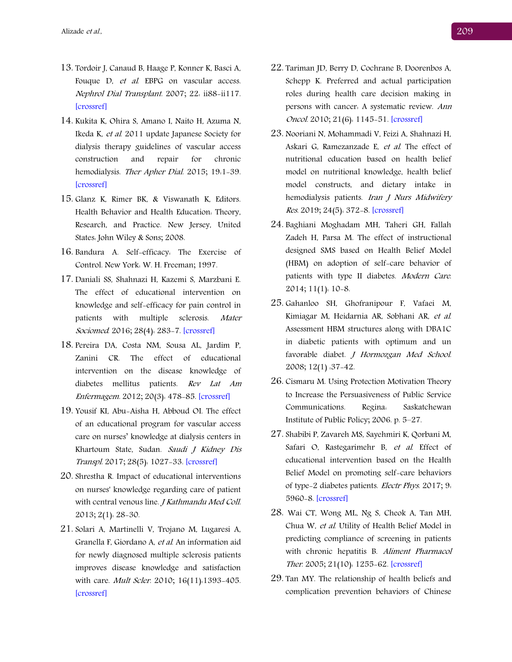- 13. Tordoir J, Canaud B, Haage P, Konner K, Basci A, Fouque D, et al. EBPG on vascular access. Nephrol Dial Transplant. 2007; 22: ii88-ii117. [\[crossref\]](https://doi.org/10.1093/ndt/gfm021)
- 14. Kukita K, Ohira S, Amano I, Naito H, Azuma N, Ikeda K, et al. 2011 update Japanese Society for dialysis therapy guidelines of vascular access construction and repair for chronic hemodialysis. Ther Apher Dial. 2015; 19:1-39. [\[crossref\]](https://doi.org/10.1111/1744-9987)
- 15. Glanz K, Rimer BK, & Viswanath K, Editors. Health Behavior and Health Education: Theory, Research, and Practice. New Jersey, United States: John Wiley & Sons; 2008.
- 16. Bandura A. Self-efficacy: The Exercise of Control. New York: W. H. Freeman; 1997.
- 17. Daniali SS, Shahnazi H, Kazemi S, Marzbani E. The effect of educational intervention on knowledge and self-efficacy for pain control in patients with multiple sclerosis. Mater Sociomed. 2016; 28(4): 283-7. [\[crossref\]](https://doi.org/10.5455/msm.2016.28.283-287)
- 18. Pereira DA, Costa NM, Sousa AL, Jardim P, Zanini CR. The effect of educational intervention on the disease knowledge of diabetes mellitus patients. Rev Lat Am Enfermagem. 2012; 20(3): 478-85. [\[crossref\]](https://doi.org/10.1590/S0104-11692012000300008)
- 19. Yousif KI, Abu-Aisha H, Abboud OI. The effect of an educational program for vascular access care on nurses' knowledge at dialysis centers in Khartoum State, Sudan. Saudi J Kidney Dis Transpl. 2017; 28(5): 1027-33. [\[crossref\]](https://doi.org/10.4103/1319-2442.215149)
- 20. Shrestha R. Impact of educational interventions on nurses' knowledge regarding care of patient with central venous line. *J Kathmandu Med Coll.* 2013; 2(1): 28-30.
- 21. Solari A, Martinelli V, Trojano M, Lugaresi A, Granella F, Giordano A, et al. An information aid for newly diagnosed multiple sclerosis patients improves disease knowledge and satisfaction with care. *Mult Scler.* 2010; 16(11):1393-405. [\[crossref\]](https://doi.org/10.1177/1352458510380417)
- 22. Tariman JD, Berry D, Cochrane B, Doorenbos A, Schepp K. Preferred and actual participation roles during health care decision making in persons with cancer: A systematic review. Ann Oncol. 2010; 21(6): 1145-51. [\[crossref\]](https://doi.org/10.1093/annonc/mdp534)
- 23. Nooriani N, Mohammadi V, Feizi A, Shahnazi H, Askari G, Ramezanzade E, et al. The effect of nutritional education based on health belief model on nutritional knowledge, health belief model constructs, and dietary intake in hemodialysis patients. Iran J Nurs Midwifery Res. 2019; 24(5): 372-8. [\[crossref\]](https://doi.org/10.4103/ijnmr.IJNMR_124_18)
- 24. Baghiani Moghadam MH, Taheri GH, Fallah Zadeh H, Parsa M. The effect of instructional designed SMS based on Health Belief Model (HBM) on adoption of self-care behavior of patients with type II diabetes. Modern Care. 2014; 11(1): 10-8.
- 25. Gahanloo SH, Ghofranipour F, Vafaei M, Kimiagar M, Heidarnia AR, Sobhani AR, et al. Assessment HBM structures along with DBA1C in diabetic patients with optimum and un favorable diabet. J Hormozgan Med School. 2008; 12(1) :37-42.
- 26. Cismaru M. Using Protection Motivation Theory to Increase the Persuasiveness of Public Service Communications. Regina: Saskatchewan Institute of Public Policy; 2006. p. 5–27.
- 27. Shabibi P, Zavareh MS, Sayehmiri K, Qorbani M, Safari O, Rastegarimehr B, et al. Effect of educational intervention based on the Health Belief Model on promoting self-care behaviors of type-2 diabetes patients. Electr Phys. 2017; 9: 5960-8. [\[crossref\]](http://dx.doi.org/10.19082/5960)
- 28. Wai CT, Wong ML, Ng S, Cheok A, Tan MH, Chua W, et al. Utility of Health Belief Model in predicting compliance of screening in patients with chronic hepatitis B. Aliment Pharmacol Ther. 2005; 21(10): 1255-62. [\[crossref\]](http://dx.doi.org/10.1111/j.1365-2036.2005.02497.x)
- 29. Tan MY. The relationship of health beliefs and complication prevention behaviors of Chinese